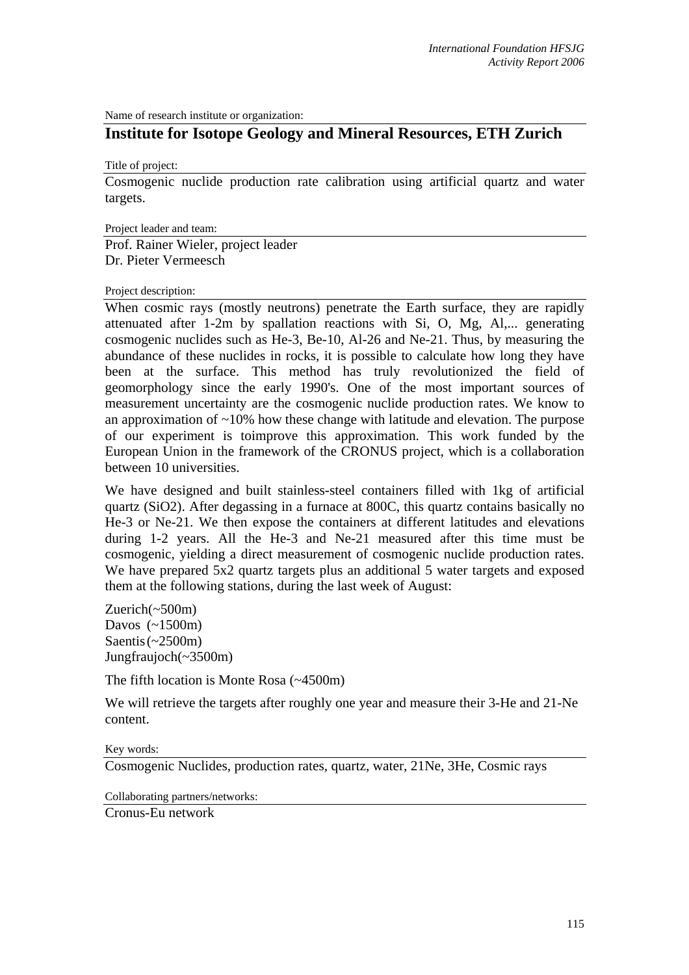Name of research institute or organization:

## **Institute for Isotope Geology and Mineral Resources, ETH Zurich**

Title of project:

Cosmogenic nuclide production rate calibration using artificial quartz and water targets.

Project leader and team:

Prof. Rainer Wieler, project leader Dr. Pieter Vermeesch

## Project description:

When cosmic rays (mostly neutrons) penetrate the Earth surface, they are rapidly attenuated after 1-2m by spallation reactions with Si, O, Mg, Al,... generating cosmogenic nuclides such as He-3, Be-10, Al-26 and Ne-21. Thus, by measuring the abundance of these nuclides in rocks, it is possible to calculate how long they have been at the surface. This method has truly revolutionized the field of geomorphology since the early 1990's. One of the most important sources of measurement uncertainty are the cosmogenic nuclide production rates. We know to an approximation of  $\sim 10\%$  how these change with latitude and elevation. The purpose of our experiment is toimprove this approximation. This work funded by the European Union in the framework of the CRONUS project, which is a collaboration between 10 universities.

We have designed and built stainless-steel containers filled with 1kg of artificial quartz (SiO2). After degassing in a furnace at 800C, this quartz contains basically no He-3 or Ne-21. We then expose the containers at different latitudes and elevations during 1-2 years. All the He-3 and Ne-21 measured after this time must be cosmogenic, yielding a direct measurement of cosmogenic nuclide production rates. We have prepared 5x2 quartz targets plus an additional 5 water targets and exposed them at the following stations, during the last week of August:

Zuerich(~500m) Davos (~1500m) Saentis  $\left(\sim 2500 \text{m}\right)$ Jungfraujoch(~3500m)

The fifth location is Monte Rosa (~4500m)

We will retrieve the targets after roughly one year and measure their 3-He and 21-Ne content.

## Key words:

Cosmogenic Nuclides, production rates, quartz, water, 21Ne, 3He, Cosmic rays

Collaborating partners/networks:

Cronus-Eu network